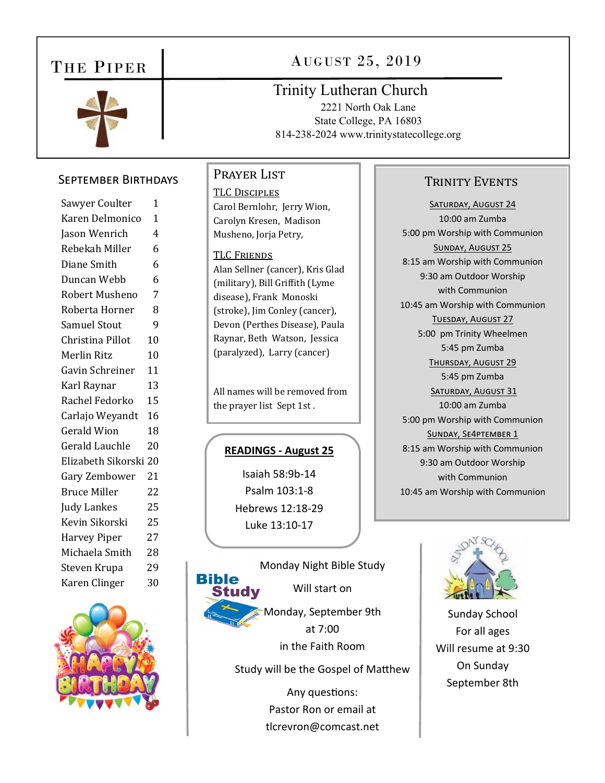# THE PIPER



# AUGUST 25, 2019

# **Trinity Lutheran Church**

2221 North Oak Lane State College, PA 16803 814-238-2024 www.trinitystatecollege.org

### **SEPTEMBER BIRTHDAYS**

| Sawyer Coulter        | 1              |
|-----------------------|----------------|
| Karen Delmonico       | $\overline{1}$ |
| Jason Wenrich         | 4              |
| Rebekah Miller        | 6              |
| Diane Smith           | 6              |
| Duncan Webb           | 6              |
| Robert Musheno        | 7              |
| Roberta Horner        | 8              |
| <b>Samuel Stout</b>   | 9              |
| Christina Pillot      | 10             |
| Merlin Ritz           | 10             |
| Gavin Schreiner       | 11             |
| Karl Raynar           | 13             |
| Rachel Fedorko        | 15             |
| Carlajo Weyandt       | 16             |
| <b>Gerald Wion</b>    | 18             |
| Gerald Lauchle        | 20             |
| Elizabeth Sikorski 20 |                |
| Gary Zembower         | 21             |
| <b>Bruce Miller</b>   | 22             |
| Judy Lankes           | 25             |
| Kevin Sikorski        | 25             |
| <b>Harvey Piper</b>   | 27             |
| Michaela Smith        | 28             |
| Steven Krupa          | 29             |
| Karen Clinger         | 30             |
|                       |                |



## PRAYER LIST

**TLC DISCIPLES** Carol Bernlohr, Jerry Wion, Carolyn Kresen, Madison Musheno, Jorja Petry,

#### **TLC FRIENDS**

Alan Sellner (cancer), Kris Glad (military), Bill Griffith (Lyme disease), Frank Monoski (stroke), Jim Conley (cancer), Devon (Perthes Disease), Paula Raynar, Beth Watson, Jessica (paralyzed), Larry (cancer)

All names will be removed from the prayer list Sept 1st.

#### **READINGS - August 25**

Isaiah 58:9b-14 Psalm 103:1-8 Hebrews 12:18-29 Luke 13:10-17



Study will be the Gospel of Matthew

Any questions: Pastor Ron or email at tlcrevron@comcast.net

## **TRINITY EVENTS**

SATURDAY, AUGUST 24 10:00 am Zumba 5:00 pm Worship with Communion **SUNDAY, AUGUST 25** 8:15 am Worship with Communion 9:30 am Outdoor Worship with Communion 10:45 am Worship with Communion TUESDAY, AUGUST 27 5:00 pm Trinity Wheelmen 5:45 pm Zumba THURSDAY, AUGUST 29 5:45 pm Zumba SATURDAY, AUGUST 31  $10:00$  am  $7$ umba 5:00 pm Worship with Communion SUNDAY, SE4PTEMBER 1 8:15 am Worship with Communion 9:30 am Outdoor Worship with Communion 10:45 am Worship with Communion



**Sunday School** For all ages Will resume at 9:30 On Sunday September 8th